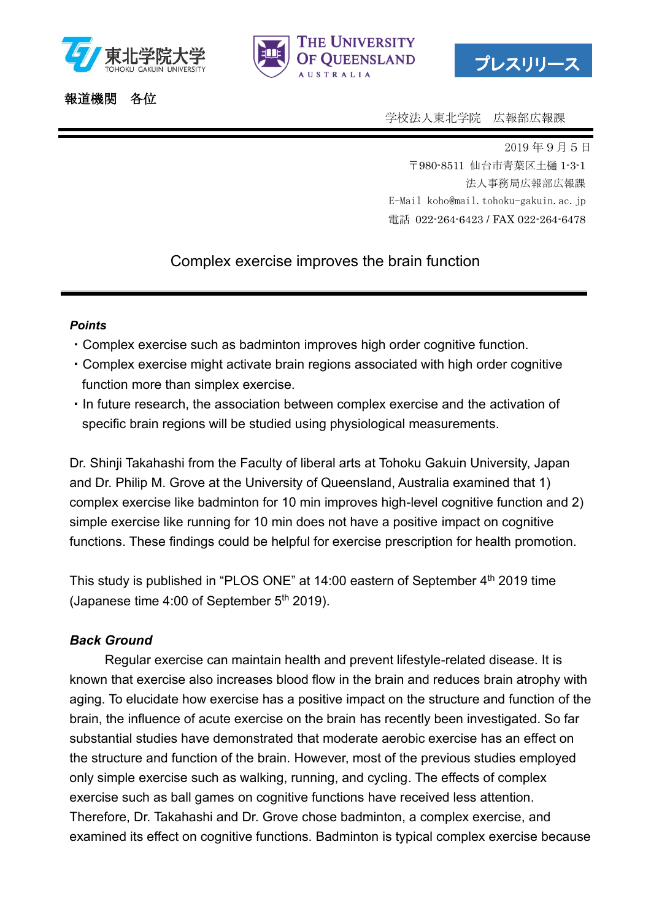



プレスリリース

## 報道機関 各位

学校法人東北学院 広報部広報課

2019 年9月5日 〒980-8511 仙台市青葉区土樋 1-3-1 法人事務局広報部広報課 E-Mail koho@mail.tohoku-gakuin.ac.jp 電話 022-264-6423 / FAX 022-264-6478

# Complex exercise improves the brain function

#### *Points*

- ・Complex exercise such as badminton improves high order cognitive function.
- ・Complex exercise might activate brain regions associated with high order cognitive function more than simplex exercise.
- ・In future research, the association between complex exercise and the activation of specific brain regions will be studied using physiological measurements.

Dr. Shinji Takahashi from the Faculty of liberal arts at Tohoku Gakuin University, Japan and Dr. Philip M. Grove at the University of Queensland, Australia examined that 1) complex exercise like badminton for 10 min improves high-level cognitive function and 2) simple exercise like running for 10 min does not have a positive impact on cognitive functions. These findings could be helpful for exercise prescription for health promotion.

This study is published in "PLOS ONE" at 14:00 eastern of September 4<sup>th</sup> 2019 time (Japanese time 4:00 of September  $5<sup>th</sup>$  2019).

## *Back Ground*

Regular exercise can maintain health and prevent lifestyle-related disease. It is known that exercise also increases blood flow in the brain and reduces brain atrophy with aging. To elucidate how exercise has a positive impact on the structure and function of the brain, the influence of acute exercise on the brain has recently been investigated. So far substantial studies have demonstrated that moderate aerobic exercise has an effect on the structure and function of the brain. However, most of the previous studies employed only simple exercise such as walking, running, and cycling. The effects of complex exercise such as ball games on cognitive functions have received less attention. Therefore, Dr. Takahashi and Dr. Grove chose badminton, a complex exercise, and examined its effect on cognitive functions. Badminton is typical complex exercise because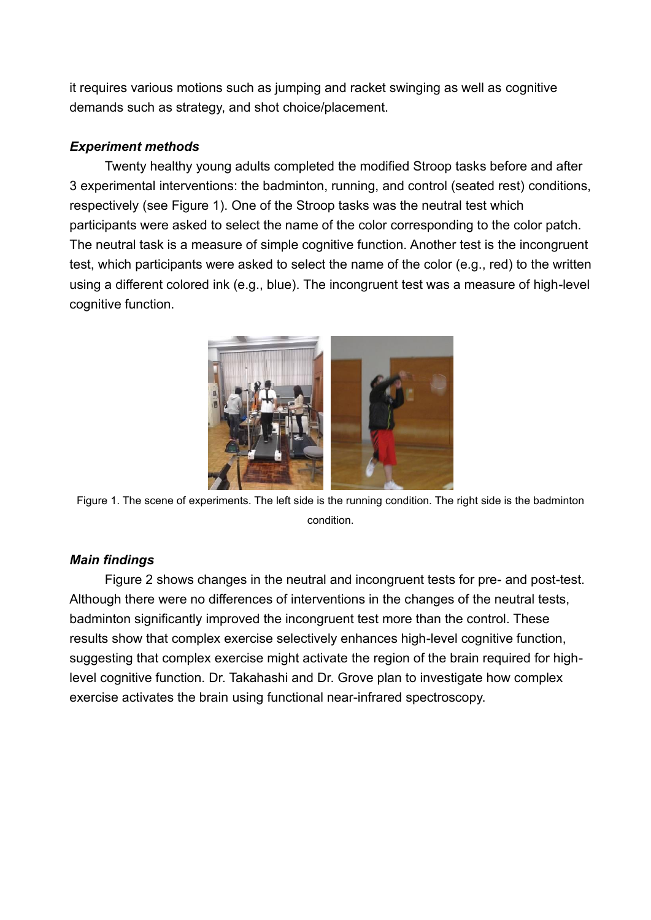it requires various motions such as jumping and racket swinging as well as cognitive demands such as strategy, and shot choice/placement.

## *Experiment methods*

Twenty healthy young adults completed the modified Stroop tasks before and after 3 experimental interventions: the badminton, running, and control (seated rest) conditions, respectively (see Figure 1). One of the Stroop tasks was the neutral test which participants were asked to select the name of the color corresponding to the color patch. The neutral task is a measure of simple cognitive function. Another test is the incongruent test, which participants were asked to select the name of the color (e.g., red) to the written using a different colored ink (e.g., blue). The incongruent test was a measure of high-level cognitive function.



Figure 1. The scene of experiments. The left side is the running condition. The right side is the badminton condition.

#### *Main findings*

Figure 2 shows changes in the neutral and incongruent tests for pre- and post-test. Although there were no differences of interventions in the changes of the neutral tests, badminton significantly improved the incongruent test more than the control. These results show that complex exercise selectively enhances high-level cognitive function, suggesting that complex exercise might activate the region of the brain required for highlevel cognitive function. Dr. Takahashi and Dr. Grove plan to investigate how complex exercise activates the brain using functional near-infrared spectroscopy.